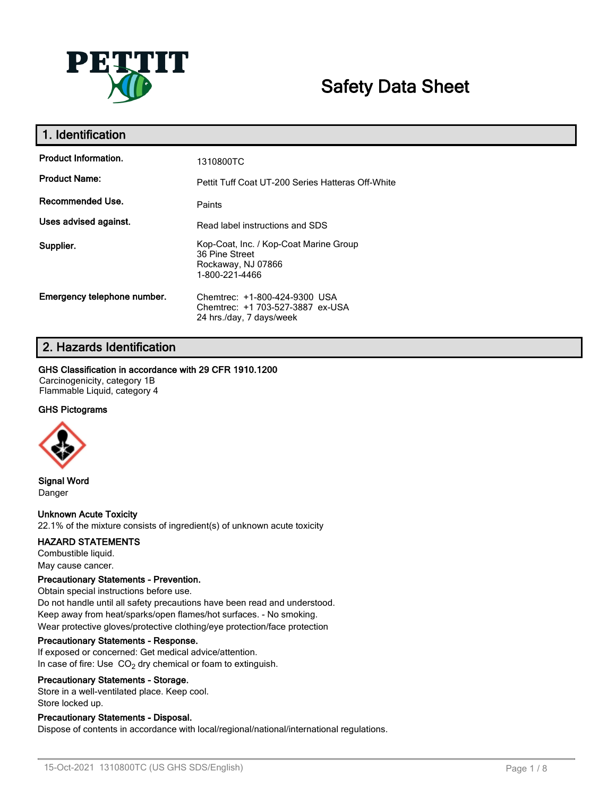

# **Safety Data Sheet**

| 1. Identification           |                                                                                                  |
|-----------------------------|--------------------------------------------------------------------------------------------------|
| <b>Product Information.</b> | 1310800TC                                                                                        |
| <b>Product Name:</b>        | Pettit Tuff Coat UT-200 Series Hatteras Off-White                                                |
| Recommended Use.            | Paints                                                                                           |
| Uses advised against.       | Read label instructions and SDS                                                                  |
| Supplier.                   | Kop-Coat, Inc. / Kop-Coat Marine Group<br>36 Pine Street<br>Rockaway, NJ 07866<br>1-800-221-4466 |
| Emergency telephone number. | Chemtrec: +1-800-424-9300 USA<br>Chemtrec: +1 703-527-3887 ex-USA<br>24 hrs./day, 7 days/week    |

# **2. Hazards Identification**

### **GHS Classification in accordance with 29 CFR 1910.1200**

Carcinogenicity, category 1B Flammable Liquid, category 4

### **GHS Pictograms**



**Signal Word** Danger

### **Unknown Acute Toxicity**

22.1% of the mixture consists of ingredient(s) of unknown acute toxicity

### **HAZARD STATEMENTS**

Combustible liquid. May cause cancer.

### **Precautionary Statements - Prevention.**

Obtain special instructions before use. Do not handle until all safety precautions have been read and understood. Keep away from heat/sparks/open flames/hot surfaces. - No smoking. Wear protective gloves/protective clothing/eye protection/face protection

### **Precautionary Statements - Response.**

If exposed or concerned: Get medical advice/attention. In case of fire: Use  $CO<sub>2</sub>$  dry chemical or foam to extinguish.

### **Precautionary Statements - Storage.**

Store in a well-ventilated place. Keep cool. Store locked up.

### **Precautionary Statements - Disposal.**

Dispose of contents in accordance with local/regional/national/international regulations.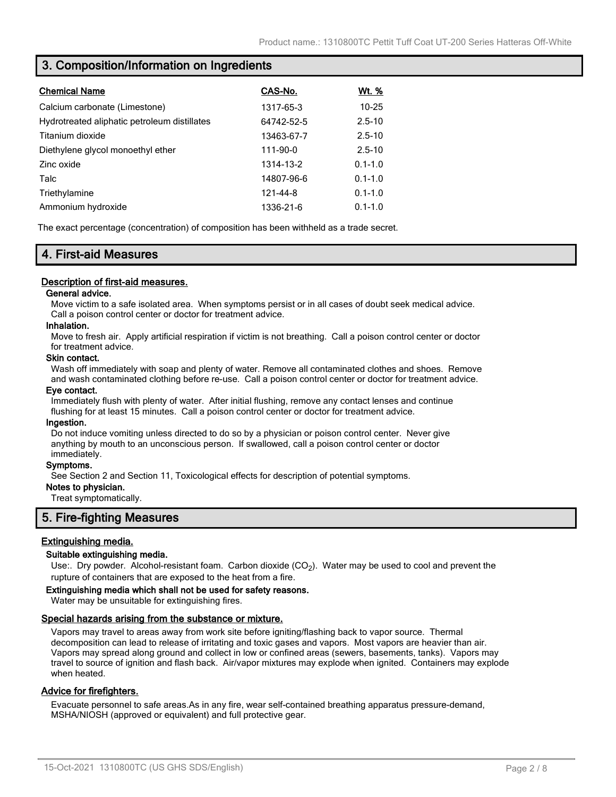### **3. Composition/Information on Ingredients**

| <b>Chemical Name</b>                         | CAS-No.    | <u>Wt. %</u> |
|----------------------------------------------|------------|--------------|
| Calcium carbonate (Limestone)                | 1317-65-3  | $10 - 25$    |
| Hydrotreated aliphatic petroleum distillates | 64742-52-5 | $2.5 - 10$   |
| Titanium dioxide                             | 13463-67-7 | $2.5 - 10$   |
| Diethylene glycol monoethyl ether            | 111-90-0   | $2.5 - 10$   |
| Zinc oxide                                   | 1314-13-2  | $0.1 - 1.0$  |
| Talc                                         | 14807-96-6 | $0.1 - 1.0$  |
| Triethylamine                                | 121-44-8   | $0.1 - 1.0$  |
| Ammonium hydroxide                           | 1336-21-6  | $0.1 - 1.0$  |

The exact percentage (concentration) of composition has been withheld as a trade secret.

## **4. First-aid Measures**

### **Description of first-aid measures.**

### **General advice.**

Move victim to a safe isolated area. When symptoms persist or in all cases of doubt seek medical advice. Call a poison control center or doctor for treatment advice.

### **Inhalation.**

Move to fresh air. Apply artificial respiration if victim is not breathing. Call a poison control center or doctor for treatment advice.

#### **Skin contact.**

Wash off immediately with soap and plenty of water. Remove all contaminated clothes and shoes. Remove and wash contaminated clothing before re-use. Call a poison control center or doctor for treatment advice.

### **Eye contact.**

Immediately flush with plenty of water. After initial flushing, remove any contact lenses and continue flushing for at least 15 minutes. Call a poison control center or doctor for treatment advice.

#### **Ingestion.**

Do not induce vomiting unless directed to do so by a physician or poison control center. Never give anything by mouth to an unconscious person. If swallowed, call a poison control center or doctor immediately.

### **Symptoms.**

See Section 2 and Section 11, Toxicological effects for description of potential symptoms.

### **Notes to physician.**

Treat symptomatically.

### **5. Fire-fighting Measures**

### **Extinguishing media.**

### **Suitable extinguishing media.**

Use:. Dry powder. Alcohol-resistant foam. Carbon dioxide (CO<sub>2</sub>). Water may be used to cool and prevent the rupture of containers that are exposed to the heat from a fire.

#### **Extinguishing media which shall not be used for safety reasons.**

Water may be unsuitable for extinguishing fires.

### **Special hazards arising from the substance or mixture.**

Vapors may travel to areas away from work site before igniting/flashing back to vapor source. Thermal decomposition can lead to release of irritating and toxic gases and vapors. Most vapors are heavier than air. Vapors may spread along ground and collect in low or confined areas (sewers, basements, tanks). Vapors may travel to source of ignition and flash back. Air/vapor mixtures may explode when ignited. Containers may explode when heated.

### **Advice for firefighters.**

Evacuate personnel to safe areas.As in any fire, wear self-contained breathing apparatus pressure-demand, MSHA/NIOSH (approved or equivalent) and full protective gear.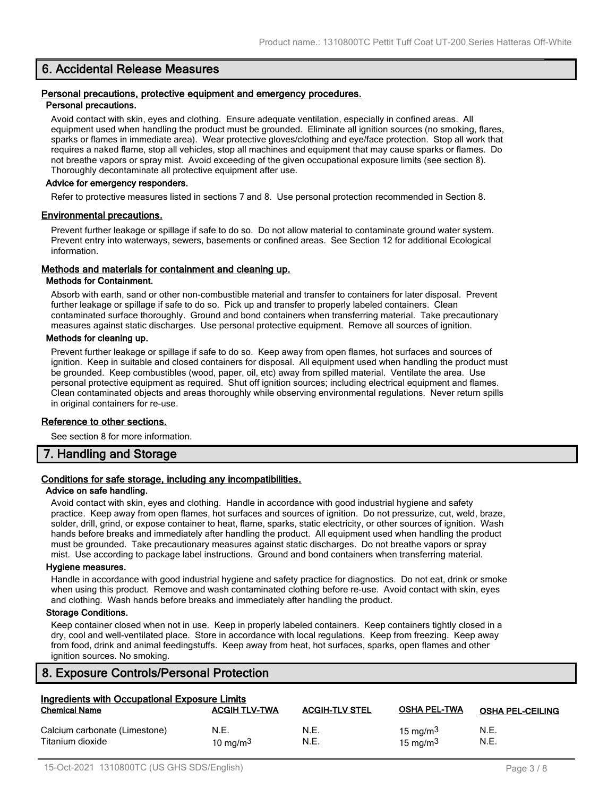### **6. Accidental Release Measures**

#### **Personal precautions, protective equipment and emergency procedures. Personal precautions.**

Avoid contact with skin, eyes and clothing. Ensure adequate ventilation, especially in confined areas. All equipment used when handling the product must be grounded. Eliminate all ignition sources (no smoking, flares, sparks or flames in immediate area). Wear protective gloves/clothing and eye/face protection. Stop all work that requires a naked flame, stop all vehicles, stop all machines and equipment that may cause sparks or flames. Do not breathe vapors or spray mist. Avoid exceeding of the given occupational exposure limits (see section 8). Thoroughly decontaminate all protective equipment after use.

### **Advice for emergency responders.**

Refer to protective measures listed in sections 7 and 8. Use personal protection recommended in Section 8.

### **Environmental precautions.**

Prevent further leakage or spillage if safe to do so. Do not allow material to contaminate ground water system. Prevent entry into waterways, sewers, basements or confined areas. See Section 12 for additional Ecological information.

### **Methods and materials for containment and cleaning up.**

#### **Methods for Containment.**

Absorb with earth, sand or other non-combustible material and transfer to containers for later disposal. Prevent further leakage or spillage if safe to do so. Pick up and transfer to properly labeled containers. Clean contaminated surface thoroughly. Ground and bond containers when transferring material. Take precautionary measures against static discharges. Use personal protective equipment. Remove all sources of ignition.

### **Methods for cleaning up.**

Prevent further leakage or spillage if safe to do so. Keep away from open flames, hot surfaces and sources of ignition. Keep in suitable and closed containers for disposal. All equipment used when handling the product must be grounded. Keep combustibles (wood, paper, oil, etc) away from spilled material. Ventilate the area. Use personal protective equipment as required. Shut off ignition sources; including electrical equipment and flames. Clean contaminated objects and areas thoroughly while observing environmental regulations. Never return spills in original containers for re-use.

### **Reference to other sections.**

See section 8 for more information.

### **7. Handling and Storage**

### **Conditions for safe storage, including any incompatibilities.**

#### **Advice on safe handling.**

Avoid contact with skin, eyes and clothing. Handle in accordance with good industrial hygiene and safety practice. Keep away from open flames, hot surfaces and sources of ignition. Do not pressurize, cut, weld, braze, solder, drill, grind, or expose container to heat, flame, sparks, static electricity, or other sources of ignition. Wash hands before breaks and immediately after handling the product. All equipment used when handling the product must be grounded. Take precautionary measures against static discharges. Do not breathe vapors or spray mist. Use according to package label instructions. Ground and bond containers when transferring material.

#### **Hygiene measures.**

Handle in accordance with good industrial hygiene and safety practice for diagnostics. Do not eat, drink or smoke when using this product. Remove and wash contaminated clothing before re-use. Avoid contact with skin, eyes and clothing. Wash hands before breaks and immediately after handling the product.

### **Storage Conditions.**

Keep container closed when not in use. Keep in properly labeled containers. Keep containers tightly closed in a dry, cool and well-ventilated place. Store in accordance with local regulations. Keep from freezing. Keep away from food, drink and animal feedingstuffs. Keep away from heat, hot surfaces, sparks, open flames and other ignition sources. No smoking.

### **8. Exposure Controls/Personal Protection**

| Ingredients with Occupational Exposure Limits     |                      |                       |                                    |                         |
|---------------------------------------------------|----------------------|-----------------------|------------------------------------|-------------------------|
| <b>Chemical Name</b>                              | <b>ACGIH TLV-TWA</b> | <b>ACGIH-TLV STEL</b> | <b>OSHA PEL-TWA</b>                | <b>OSHA PEL-CEILING</b> |
| Calcium carbonate (Limestone)<br>Titanium dioxide | N.E.<br>10 mg/m $3$  | N.E.<br>N.E.          | 15 mg/m $3$<br>$15 \text{ ma/m}^3$ | N.E.<br>N.E.            |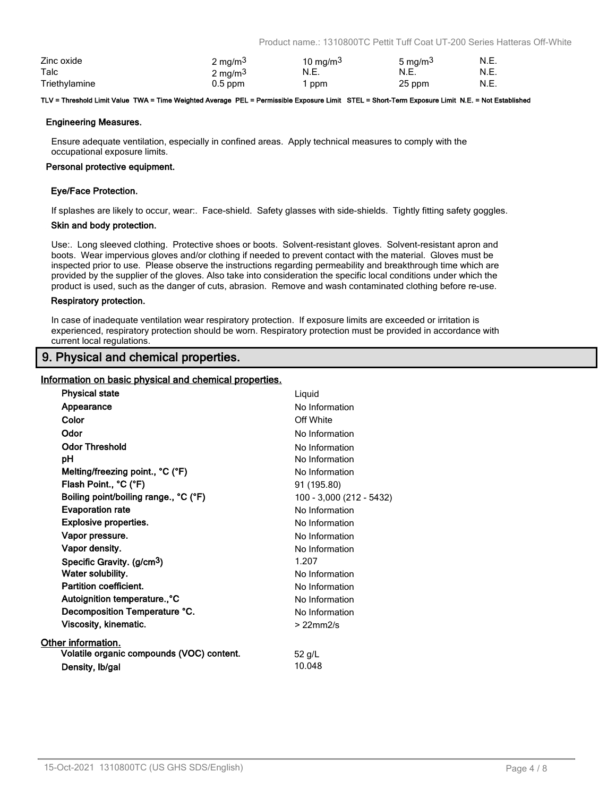Product name.: 1310800TC Pettit Tuff Coat UT-200 Series Hatteras Off-White

| Zinc oxide    | $2 \text{ mg/m}^3$  | 10 mg/m $3$ | 5 mg/m <sup>3</sup> | N.E. |
|---------------|---------------------|-------------|---------------------|------|
| Talc          | 2 mg/m <sup>3</sup> | N.E.        | N.E.                | N.E. |
| Triethylamine | $0.5$ ppm           | ppm         | 25 ppm              | N.E. |

#### **TLV = Threshold Limit Value TWA = Time Weighted Average PEL = Permissible Exposure Limit STEL = Short-Term Exposure Limit N.E. = Not Established**

### **Engineering Measures.**

Ensure adequate ventilation, especially in confined areas. Apply technical measures to comply with the occupational exposure limits.

#### **Personal protective equipment.**

### **Eye/Face Protection.**

If splashes are likely to occur, wear:. Face-shield. Safety glasses with side-shields. Tightly fitting safety goggles.

#### **Skin and body protection.**

Use:. Long sleeved clothing. Protective shoes or boots. Solvent-resistant gloves. Solvent-resistant apron and boots. Wear impervious gloves and/or clothing if needed to prevent contact with the material. Gloves must be inspected prior to use. Please observe the instructions regarding permeability and breakthrough time which are provided by the supplier of the gloves. Also take into consideration the specific local conditions under which the product is used, such as the danger of cuts, abrasion. Remove and wash contaminated clothing before re-use.

#### **Respiratory protection.**

In case of inadequate ventilation wear respiratory protection. If exposure limits are exceeded or irritation is experienced, respiratory protection should be worn. Respiratory protection must be provided in accordance with current local regulations.

### **9. Physical and chemical properties.**

### **Information on basic physical and chemical properties.**

| <b>Physical state</b>                     | Liquid                   |
|-------------------------------------------|--------------------------|
| Appearance                                | No Information           |
| Color                                     | Off White                |
| Odor                                      | No Information           |
| <b>Odor Threshold</b>                     | No Information           |
| рH                                        | No Information           |
| Melting/freezing point., °C (°F)          | No Information           |
| Flash Point., °C (°F)                     | 91 (195.80)              |
| Boiling point/boiling range., °C (°F)     | 100 - 3,000 (212 - 5432) |
| <b>Evaporation rate</b>                   | No Information           |
| <b>Explosive properties.</b>              | No Information           |
| Vapor pressure.                           | No Information           |
| Vapor density.                            | No Information           |
| Specific Gravity. (g/cm <sup>3</sup> )    | 1.207                    |
| Water solubility.                         | No Information           |
| Partition coefficient.                    | No Information           |
| Autoignition temperature., °C             | No Information           |
| Decomposition Temperature °C.             | No Information           |
| Viscosity, kinematic.                     | $>22$ mm $2/s$           |
| Other information.                        |                          |
| Volatile organic compounds (VOC) content. | 52 g/L                   |
| Density, Ib/gal                           | 10.048                   |
|                                           |                          |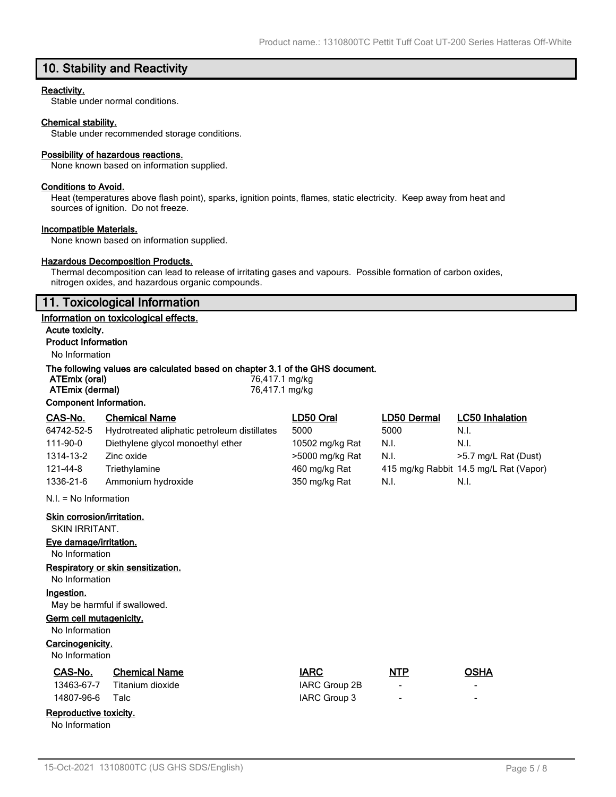# **10. Stability and Reactivity**

### **Reactivity.**

Stable under normal conditions.

#### **Chemical stability.**

Stable under recommended storage conditions.

#### **Possibility of hazardous reactions.**

None known based on information supplied.

### **Conditions to Avoid.**

Heat (temperatures above flash point), sparks, ignition points, flames, static electricity. Keep away from heat and sources of ignition. Do not freeze.

#### **Incompatible Materials.**

None known based on information supplied.

### **Hazardous Decomposition Products.**

Thermal decomposition can lead to release of irritating gases and vapours. Possible formation of carbon oxides, nitrogen oxides, and hazardous organic compounds.

### **11. Toxicological Information**

#### **Information on toxicological effects.**

**Acute toxicity. Product Information**

### No Information

### **The following values are calculated based on chapter 3.1 of the GHS document.**

| ATEmix (oral)          | 76,417.1 mg/kg |
|------------------------|----------------|
| ATEmix (dermal)        | 76,417.1 mg/kg |
| Component Information. |                |

| CAS-No.                                      | <b>Chemical Name</b>                         | LD50 Oral       | LD50 Dermal | <b>LC50 Inhalation</b>                 |
|----------------------------------------------|----------------------------------------------|-----------------|-------------|----------------------------------------|
| 64742-52-5                                   | Hydrotreated aliphatic petroleum distillates | 5000            | 5000        | N.I.                                   |
| 111-90-0                                     | Diethylene glycol monoethyl ether            | 10502 mg/kg Rat | N.I.        | N.I.                                   |
| 1314-13-2                                    | Zinc oxide                                   | >5000 mg/kg Rat | N.I.        | >5.7 mg/L Rat (Dust)                   |
| 121-44-8                                     | Triethylamine                                | 460 mg/kg Rat   |             | 415 mg/kg Rabbit 14.5 mg/L Rat (Vapor) |
| 1336-21-6                                    | Ammonium hydroxide                           | 350 mg/kg Rat   | N.I.        | N.I.                                   |
|                                              | $N.I. = No Information$                      |                 |             |                                        |
| Skin corrosion/irritation.<br>SKIN IRRITANT. |                                              |                 |             |                                        |
| Eye damage/irritation.                       |                                              |                 |             |                                        |
| No Information                               |                                              |                 |             |                                        |
|                                              | Respiratory or skin sensitization.           |                 |             |                                        |
| No Information                               |                                              |                 |             |                                        |
| Ingestion.                                   |                                              |                 |             |                                        |

May be harmful if swallowed.

#### **Germ cell mutagenicity.**

No Information

### **Carcinogenicity.**

No Information

| No Information         |                      |               |                |                          |
|------------------------|----------------------|---------------|----------------|--------------------------|
| CAS-No.                | <b>Chemical Name</b> | <b>IARC</b>   | <b>NTP</b>     | <b>OSHA</b>              |
| 13463-67-7             | Titanium dioxide     | IARC Group 2B | -              | $\qquad \qquad$          |
| 14807-96-6             | Talc                 | IARC Group 3  | $\blacksquare$ | $\overline{\phantom{a}}$ |
| Reproductive toxicity. |                      |               |                |                          |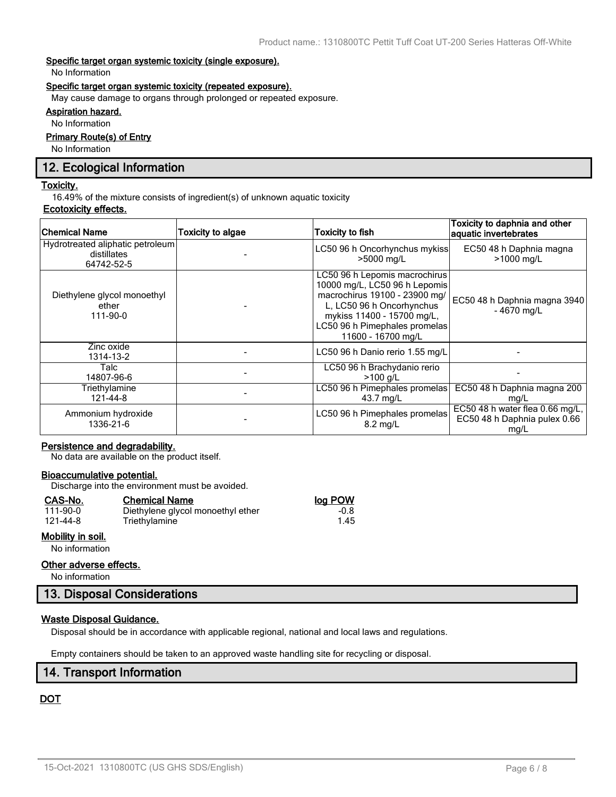### **Specific target organ systemic toxicity (single exposure).**

No Information

### **Specific target organ systemic toxicity (repeated exposure).**

May cause damage to organs through prolonged or repeated exposure.

### **Aspiration hazard.**

No Information

### **Primary Route(s) of Entry**

No Information

### **12. Ecological Information**

### **Toxicity.**

16.49% of the mixture consists of ingredient(s) of unknown aquatic toxicity

### **Ecotoxicity effects.**

| <b>Chemical Name</b>                                          | Toxicity to algae | <b>Toxicity to fish</b>                                                                                                                                                                                           | Toxicity to daphnia and other<br>aquatic invertebrates                  |
|---------------------------------------------------------------|-------------------|-------------------------------------------------------------------------------------------------------------------------------------------------------------------------------------------------------------------|-------------------------------------------------------------------------|
| Hydrotreated aliphatic petroleum<br>distillates<br>64742-52-5 |                   | LC50 96 h Oncorhynchus mykiss<br>>5000 mg/L                                                                                                                                                                       | EC50 48 h Daphnia magna<br>>1000 mg/L                                   |
| Diethylene glycol monoethyl<br>ether<br>111-90-0              |                   | LC50 96 h Lepomis macrochirus<br>10000 mg/L, LC50 96 h Lepomis<br>macrochirus 19100 - 23900 mg/<br>L, LC50 96 h Oncorhynchus<br>mykiss 11400 - 15700 mg/L,<br>LC50 96 h Pimephales promelas<br>11600 - 16700 mg/L | EC50 48 h Daphnia magna 3940<br>$-4670$ mg/L                            |
| Zinc oxide<br>1314-13-2                                       |                   | LC50 96 h Danio rerio 1.55 mg/L                                                                                                                                                                                   |                                                                         |
| Talc<br>14807-96-6                                            |                   | LC50 96 h Brachydanio rerio<br>$>100$ a/L                                                                                                                                                                         |                                                                         |
| Triethylamine<br>121-44-8                                     |                   | LC50 96 h Pimephales promelas<br>43.7 mg/L                                                                                                                                                                        | EC50 48 h Daphnia magna 200<br>mg/L                                     |
| Ammonium hydroxide<br>1336-21-6                               |                   | LC50 96 h Pimephales promelas<br>$8.2 \text{ ma/L}$                                                                                                                                                               | EC50 48 h water flea 0.66 mg/L,<br>EC50 48 h Daphnia pulex 0.66<br>mg/L |

### **Persistence and degradability.**

No data are available on the product itself.

### **Bioaccumulative potential.**

Discharge into the environment must be avoided.

Triethylamine

### **CAS-No. Chemical Name log POW**

| 111-90-0 |  |
|----------|--|
| 121-44-8 |  |

### **Mobility in soil.**

No information

### **Other adverse effects.**

No information

### **13. Disposal Considerations**

### **Waste Disposal Guidance.**

Disposal should be in accordance with applicable regional, national and local laws and regulations.

Empty containers should be taken to an approved waste handling site for recycling or disposal.

### **14. Transport Information**

### **DOT**

1.00 Diethylene glycol monoethyl ether -0.8<br>1.45 Triethylamine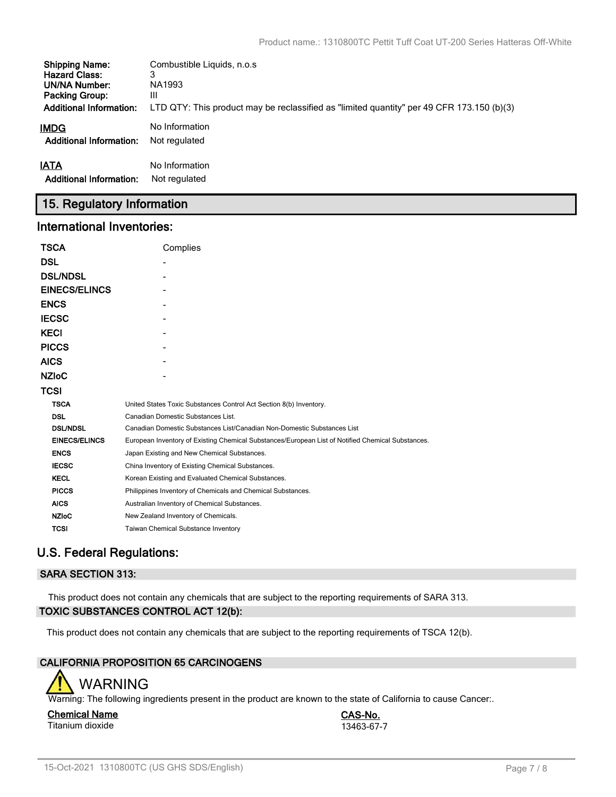| <b>Shipping Name:</b>          | Combustible Liquids, n.o.s.                                                               |
|--------------------------------|-------------------------------------------------------------------------------------------|
| <b>Hazard Class:</b>           | 3                                                                                         |
| <b>UN/NA Number:</b>           | NA1993                                                                                    |
| <b>Packing Group:</b>          | Ш                                                                                         |
| <b>Additional Information:</b> | LTD QTY: This product may be reclassified as "limited quantity" per 49 CFR 173.150 (b)(3) |
| IMDG                           | No Information                                                                            |
| <b>Additional Information:</b> | Not regulated                                                                             |
| IATA                           | No Information                                                                            |
| <b>Additional Information:</b> | Not regulated                                                                             |

# **15. Regulatory Information**

### **International Inventories:**

| <b>TSCA</b>          | Complies                                                                                          |
|----------------------|---------------------------------------------------------------------------------------------------|
| <b>DSL</b>           |                                                                                                   |
| <b>DSL/NDSL</b>      |                                                                                                   |
| <b>EINECS/ELINCS</b> |                                                                                                   |
| <b>ENCS</b>          |                                                                                                   |
| <b>IECSC</b>         |                                                                                                   |
| <b>KECI</b>          |                                                                                                   |
| <b>PICCS</b>         |                                                                                                   |
| <b>AICS</b>          |                                                                                                   |
| <b>NZIOC</b>         |                                                                                                   |
| <b>TCSI</b>          |                                                                                                   |
| <b>TSCA</b>          | United States Toxic Substances Control Act Section 8(b) Inventory.                                |
| <b>DSL</b>           | Canadian Domestic Substances List.                                                                |
| <b>DSL/NDSL</b>      | Canadian Domestic Substances List/Canadian Non-Domestic Substances List                           |
| <b>EINECS/ELINCS</b> | European Inventory of Existing Chemical Substances/European List of Notified Chemical Substances. |
| <b>ENCS</b>          | Japan Existing and New Chemical Substances.                                                       |
| <b>IECSC</b>         | China Inventory of Existing Chemical Substances.                                                  |
| <b>KECL</b>          | Korean Existing and Evaluated Chemical Substances.                                                |
| <b>PICCS</b>         | Philippines Inventory of Chemicals and Chemical Substances.                                       |
| <b>AICS</b>          | Australian Inventory of Chemical Substances.                                                      |
| <b>NZIoC</b>         | New Zealand Inventory of Chemicals.                                                               |
| <b>TCSI</b>          | Taiwan Chemical Substance Inventory                                                               |

# **U.S. Federal Regulations:**

### **SARA SECTION 313:**

This product does not contain any chemicals that are subject to the reporting requirements of SARA 313. **TOXIC SUBSTANCES CONTROL ACT 12(b):**

This product does not contain any chemicals that are subject to the reporting requirements of TSCA 12(b).

### **CALIFORNIA PROPOSITION 65 CARCINOGENS**



Warning: The following ingredients present in the product are known to the state of California to cause Cancer:.

#### **Chemical Name CAS-No.** Titanium dioxide